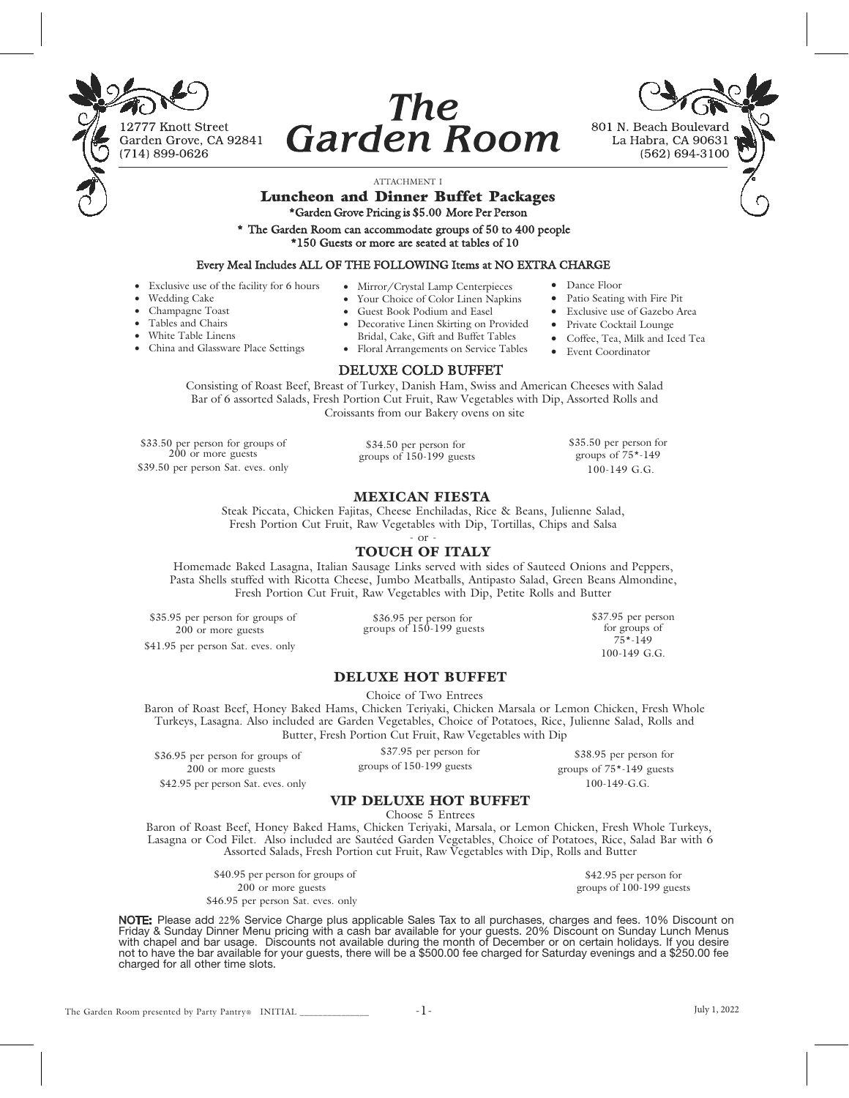

# **The Garden Room**



## ATTACHMENT I

# Luncheon and Dinner Buffet Packages \*Garden Grove Pricing is \$5.00 More Per Person

\* The Garden Room can accommodate groups of 50 to 400 people \*150 Guests or more are seated at tables of 10

#### Every Meal Includes ALL OF THE FOLLOWING Items at NO EXTRA CHARGE

• Exclusive use of the facility for 6 hours

• China and Glassware Place Settings

• Wedding Cake • Champagne Toast

> • Tables and Chairs White Table Linens

- Mirror/Crystal Lamp Centerpieces Your Choice of Color Linen Napkins
- Guest Book Podium and Easel
- 
- Decorative Linen Skirting on Provided
- Bridal, Cake, Gift and Buffet Tables
- Floral Arrangements on Service Tables

### DELUXE COLD BUFFET

Consisting of Roast Beef, Breast of Turkey, Danish Ham, Swiss and American Cheeses with Salad Bar of 6 assorted Salads, Fresh Portion Cut Fruit, Raw Vegetables with Dip, Assorted Rolls and Croissants from our Bakery ovens on site

\$33.50 per person for groups of  $200$  or more guests \$39.50 per person Sat. eves. only

\$34.50 per person for groups of 150-199 guests groups of 75\*-149 100-149 G.G.

#### MEXICAN FIESTA

Steak Piccata, Chicken Fajitas, Cheese Enchiladas, Rice & Beans, Julienne Salad, Fresh Portion Cut Fruit, Raw Vegetables with Dip, Tortillas, Chips and Salsa

- or -

## TOUCH OF ITALY

Homemade Baked Lasagna, Italian Sausage Links served with sides of Sauteed Onions and Peppers, Pasta Shells stuffed with Ricotta Cheese, Jumbo Meatballs, Antipasto Salad, Green Beans Almondine, Fresh Portion Cut Fruit, Raw Vegetables with Dip, Petite Rolls and Butter

\$35.95 per person for groups of 200 or more guests \$41.95 per person Sat. eves. only

\$36.95 per person for groups of 150-199 guests \$37.95 per person for groups of 75\*-149 100-149 G.G.

## DELUXE HOT BUFFET

Choice of Two Entrees

Baron of Roast Beef, Honey Baked Hams, Chicken Teriyaki, Chicken Marsala or Lemon Chicken, Fresh Whole Turkeys, Lasagna. Also included are Garden Vegetables, Choice of Potatoes, Rice, Julienne Salad, Rolls and Butter, Fresh Portion Cut Fruit, Raw Vegetables with Dip

%36.95 per person for groups of \$37.95 per person for 200 or more guests \$37.95 per person for \$37.95 per person for \$200 or more guests \$27.95 per person for \$28.95 per person for \$28.95 per person for \$28.95 per person f \$42.95 per person Sat. eves. only

groups of 150-199 guests

\$38.95 per person for groups of 75\*-149 guests 100-149-G.G.

## VIP DELUXE HOT BUFFET

Choose 5 Entrees

Baron of Roast Beef, Honey Baked Hams, Chicken Teriyaki, Marsala, or Lemon Chicken, Fresh Whole Turkeys, Lasagna or Cod Filet. Also included are Sautéed Garden Vegetables, Choice of Potatoes, Rice, Salad Bar with 6 Assorted Salads, Fresh Portion cut Fruit, Raw Vegetables with Dip, Rolls and Butter

> \$40.95 per person for groups of 200 or more guests \$46.95 per person Sat. eves. only

\$42.95 per person for groups of 100-199 guests

**NOTE:** Please add 22% Service Charge plus applicable Sales Tax to all purchases, charges and fees. 10% Discount on<br>Friday & Sunday Dinner Menu pricing with a cash bar available for your guests. 20% Discount on Sunday Lunc with chapel and bar usage. Discounts not available during the month of December or on certain holidays. If you desire not to have the bar available for your guests, there will be a \$500.00 fee charged for Saturday evenings and a \$250.00 fee charged for all other time slots.

- 
- \$35.50 per person for

• Event Coordinator

• Dance Floor

• Patio Seating with Fire Pit • Exclusive use of Gazebo Area • Private Cocktail Lounge • Coffee, Tea, Milk and Iced Tea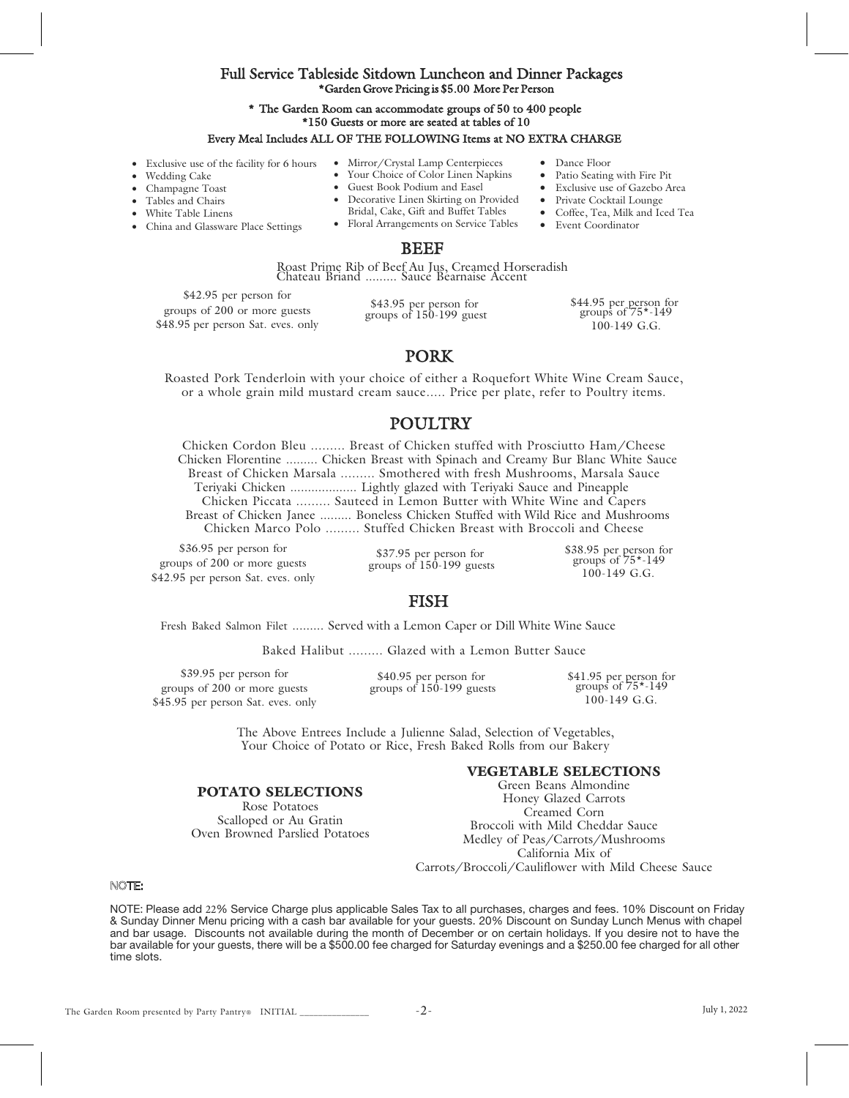## Full Service Tableside Sitdown Luncheon and Dinner Packages \*Garden Grove Pricing is \$5.00 More Per Person

## \* The Garden Room can accommodate groups of 50 to 400 people \*150 Guests or more are seated at tables of 10

#### Every Meal Includes ALL OF THE FOLLOWING Items at NO EXTRA CHARGE

- Exclusive use of the facility for 6 hours
	- Wedding Cake
- Champagne Toast
- Tables and Chairs
- White Table Linens
- China and Glassware Place Settings
- Mirror/Crystal Lamp Centerpieces
	- Your Choice of Color Linen Napkins • Guest Book Podium and Easel
- Decorative Linen Skirting on Provided
- Bridal, Cake, Gift and Buffet Tables
- Floral Arrangements on Service Tables

#### BEEF

Roast Prime Rib of Beef Au Jus, Creamed Horseradish<br>Chateau Briand ......... Sauce Bearnaise Accent

\$42.95 per person for groups of 200 or more guests \$48.95 per person Sat. eves. only

\$43.95 per person for groups of  $150-199$  guest \$44.95 per person for groups of 75\*-149 100-149 G.G.

• Dance Floor

• Event Coordinator

Patio Seating with Fire Pit • Exclusive use of Gazebo Area • Private Cocktail Lounge • Coffee, Tea, Milk and Iced Tea

# PORK

Roasted Pork Tenderloin with your choice of either a Roquefort White Wine Cream Sauce, or a whole grain mild mustard cream sauce..... Price per plate, refer to Poultry items.

# **POULTRY**

Chicken Cordon Bleu ......... Breast of Chicken stuffed with Prosciutto Ham/Cheese Chicken Florentine ......... Chicken Breast with Spinach and Creamy Bur Blanc White Sauce Breast of Chicken Marsala ......... Smothered with fresh Mushrooms, Marsala Sauce Teriyaki Chicken ................... Lightly glazed with Teriyaki Sauce and Pineapple Chicken Piccata ......... Sauteed in Lemon Butter with White Wine and Capers Breast of Chicken Janee ......... Boneless Chicken Stuffed with Wild Rice and Mushrooms Chicken Marco Polo ......... Stuffed Chicken Breast with Broccoli and Cheese

\$36.95 per person for groups of 200 or more guests \$42.95 per person Sat. eves. only

\$37.95 per person for groups of 150-199 guests \$38.95 per person for groups of 75\*-149 100-149 G.G.

# FISH

Fresh Baked Salmon Filet ......... Served with a Lemon Caper or Dill White Wine Sauce

Baked Halibut ......... Glazed with a Lemon Butter Sauce

\$39.95 per person for groups of 200 or more guests \$45.95 per person Sat. eves. only

> POTATO SELECTIONS Rose Potatoes Scalloped or Au Gratin Oven Browned Parslied Potatoes

\$40.95 per person for groups of  $150-199$  guests

\$41.95 per person for groups of 75\*-149 100-149 G.G.

The Above Entrees Include a Julienne Salad, Selection of Vegetables, Your Choice of Potato or Rice, Fresh Baked Rolls from our Bakery

## VEGETABLE SELECTIONS

Green Beans Almondine Honey Glazed Carrots Creamed Corn Broccoli with Mild Cheddar Sauce Medley of Peas/Carrots/Mushrooms California Mix of Carrots/Broccoli/Cauliflower with Mild Cheese Sauce

#### NOTE:

NOTE: Please add 2% Service Charge plus applicable Sales Tax to all purchases, charges and fees. 10% Discount on Friday & Sunday Dinner Menu pricing with a cash bar available for your guests. 20% Discount on Sunday Lunch Menus with chapel and bar usage. Discounts not available during the month of December or on certain holidays. If you desire not to have the bar available for your guests, there will be a \$500.00 fee charged for Saturday evenings and a \$250.00 fee charged for all other time slots.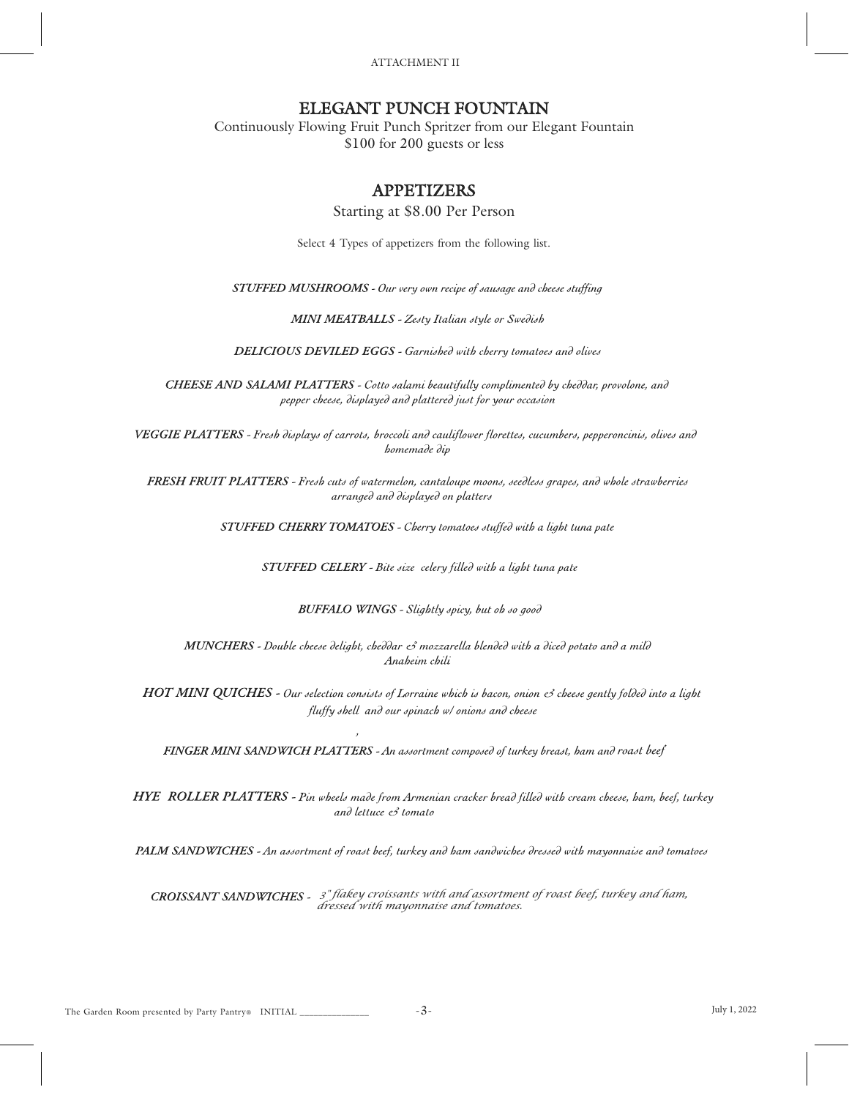ATTACHMENT II

# ELEGANT PUNCH FOUNTAIN

Continuously Flowing Fruit Punch Spritzer from our Elegant Fountain \$100 for 200 guests or less

# APPETIZERS

Starting at \$8.00 Per Person

Select 4 Types of appetizers from the following list.

STUFFED MUSHROOMS - Our very own recipe of sausage and cheese stuffing

MINI MEATBALLS - Zesty Italian style or Swedish

DELICIOUS DEVILED EGGS - Garnished with cherry tomatoes and olives

CHEESE AND SALAMI PLATTERS - Cotto salami beautifully complimented by cheθθαι, provolone, and pepper cheese, displayed and plattered just for your occasion

VEGGIE PLATTERS - Fresh displays of carrots, broccoli and cauliflower florettes, cucumbers, pepperoncinis, olives and homemade dip

FRESH FRUIT PLATTERS - Fresh cuts of watermelon, cantaloupe moons, seedless grapes, and whole strawberries arranged and displayed on platters

STUFFED CHERRY TOMATOES - Cherry tomatoes stuffed with a light tuna pate

STUFFED CELERY - Bite size celery filled with a light tuna pate

BUFFALO WINGS - Slightly spicy, but oh so good

MUNCHERS - Double cheese delight, cheddar es mozzarella blended with a diced potato and a mild Anaheim chili

HOT MINI QUICHES - Our selection consists of Lorraine which is bacon, onion e3 cheese gently folded into a light fluffy shell and our spinach w/ onions and cheese

FINGER MINI SANDWICH PLATTERS - An assortment composed of turkey breast, ham and roast beef

HYE ROLLER PLATTERS - Pin wheels made from Armenian cracker bread filled with cream cheese, ham, beef, turkey and lettuce & tomato

PALM SANDWICHES - An assortment of roast beef, turkey and ham sandwiches dressed with mayonnaise and tomatoes

*<sup>3</sup>" flakey croissants with and assortment of roast beef, turkey and ham, dressed with mayonnaise and tomatoes.*